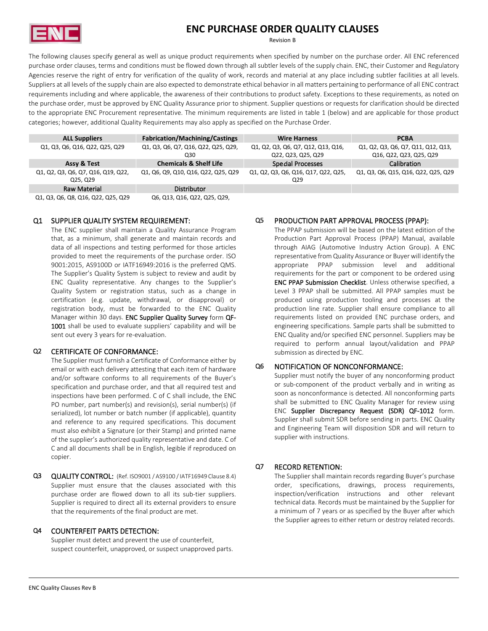

# **ENC PURCHASE ORDER QUALITY CLAUSES**

Revision B

The following clauses specify general as well as unique product requirements when specified by number on the purchase order. All ENC referenced purchase order clauses, terms and conditions must be flowed down through all subtler levels of the supply chain. ENC, their Customer and Regulatory Agencies reserve the right of entry for verification of the quality of work, records and material at any place including subtler facilities at all levels. Suppliers at all levels of the supply chain are also expected to demonstrate ethical behavior in all matters pertaining to performance of all ENC contract requirements including and where applicable, the awareness of their contributions to product safety. Exceptions to these requirements, as noted on the purchase order, must be approved by ENC Quality Assurance prior to shipment. Supplier questions or requests for clarification should be directed to the appropriate ENC Procurement representative. The minimum requirements are listed in table 1 (below) and are applicable for those product categories; however, additional Quality Requirements may also apply as specified on the Purchase Order.

| <b>ALL Suppliers</b>                           | <b>Fabrication/Machining/Castings</b>      | <b>Wire Harness</b>                                      | <b>PCBA</b>                                                   |
|------------------------------------------------|--------------------------------------------|----------------------------------------------------------|---------------------------------------------------------------|
| Q1, Q3, Q6, Q16, Q22, Q25, Q29                 | Q1, Q3, Q6, Q7, Q16, Q22, Q25, Q29,<br>Q30 | Q1, Q2, Q3, Q6, Q7, Q12, Q13, Q16,<br>Q22, Q23, Q25, Q29 | Q1, Q2, Q3, Q6, Q7, Q11, Q12, Q13,<br>Q16, Q22, Q23, Q25, Q29 |
| Assy & Test                                    | <b>Chemicals &amp; Shelf Life</b>          | Special Processes                                        | Calibration                                                   |
| Q1, Q2, Q3, Q6, Q7, Q16, Q19, Q22,<br>Q25, Q29 | Q1, Q6, Q9, Q10, Q16, Q22, Q25, Q29        | Q1, Q2, Q3, Q6, Q16, Q17, Q22, Q25,<br>Q <sub>29</sub>   | Q1, Q3, Q6, Q15, Q16, Q22, Q25, Q29                           |
| Raw Material                                   | Distributor                                |                                                          |                                                               |
| Q1, Q3, Q6, Q8, Q16, Q22, Q25, Q29             | Q6, Q13, Q16, Q22, Q25, Q29,               |                                                          |                                                               |

#### Q1 SUPPLIER QUALITY SYSTEM REQUIREMENT:

The ENC supplier shall maintain a Quality Assurance Program that, as a minimum, shall generate and maintain records and data of all inspections and testing performed for those articles provided to meet the requirements of the purchase order. ISO 9001:2015, AS9100D or IATF16949:2016 is the preferred QMS. The Supplier's Quality System is subject to review and audit by ENC Quality representative. Any changes to the Supplier's Quality System or registration status, such as a change in certification (e.g. update, withdrawal, or disapproval) or registration body, must be forwarded to the ENC Quality Manager within 30 days. ENC Supplier Quality Survey form QF-1001 shall be used to evaluate suppliers' capability and will be sent out every 3 years for re-evaluation.

## Q2 CERTIFICATE OF CONFORMANCE: Submission as directed by ENC.

The Supplier must furnish a Certificate of Conformance either by email or with each delivery attesting that each item of hardware and/or software conforms to all requirements of the Buyer's specification and purchase order, and that all required test and inspections have been performed. C of C shall include, the ENC PO number, part number(s) and revision(s), serial number(s) (if serialized), lot number or batch number (if applicable), quantity and reference to any required specifications. This document must also exhibit a Signature (or their Stamp) and printed name of the supplier's authorized quality representative and date. C of C and all documents shall be in English, legible if reproduced on copier.

Q3 QUALITY CONTROL: (Ref. ISO9001 / AS9100 / IATF16949 Clause 8.4) Supplier must ensure that the clauses associated with this purchase order are flowed down to all its sub-tier suppliers. Supplier is required to direct all its external providers to ensure that the requirements of the final product are met.

## Q4 COUNTERFEIT PARTS DETECTION:

Supplier must detect and prevent the use of counterfeit, suspect counterfeit, unapproved, or suspect unapproved parts.

## Q5 PRODUCTION PART APPROVAL PROCESS (PPAP):

The PPAP submission will be based on the latest edition of the Production Part Approval Process (PPAP) Manual, available through AIAG (Automotive Industry Action Group). A ENC representative from Quality Assurance or Buyer will identify the appropriate PPAP submission level and additional requirements for the part or component to be ordered using ENC PPAP Submission Checklist. Unless otherwise specified, a Level 3 PPAP shall be submitted. All PPAP samples must be produced using production tooling and processes at the production line rate. Supplier shall ensure compliance to all requirements listed on provided ENC purchase orders, and engineering specifications. Sample parts shall be submitted to ENC Quality and/or specified ENC personnel. Suppliers may be required to perform annual layout/validation and PPAP

## Q6 NOTIFICATION OF NONCONFORMANCE:

Supplier must notify the buyer of any nonconforming product or sub-component of the product verbally and in writing as soon as nonconformance is detected. All nonconforming parts shall be submitted to ENC Quality Manager for review using ENC Supplier Discrepancy Request (SDR) QF-1012 form. Supplier shall submit SDR before sending in parts. ENC Quality and Engineering Team will disposition SDR and will return to supplier with instructions.

#### Q7 RECORD RETENTION:

The Supplier shall maintain records regarding Buyer's purchase order, specifications, drawings, process requirements, inspection/verification instructions and other relevant technical data. Records must be maintained by the Supplier for a minimum of 7 years or as specified by the Buyer after which the Supplier agrees to either return or destroy related records.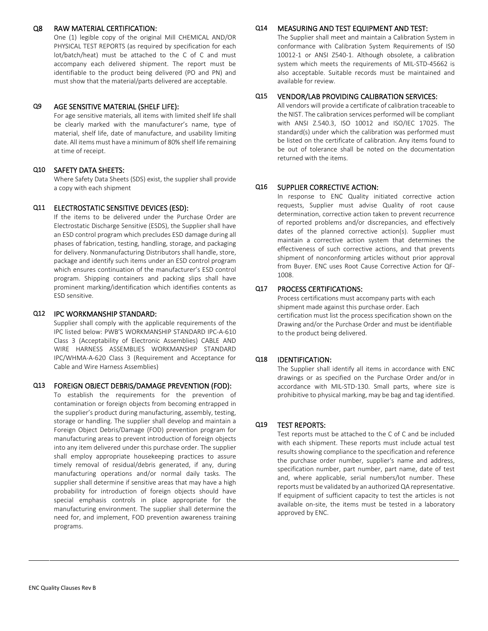#### Q8 RAW MATERIAL CERTIFICATION:

One (1) legible copy of the original Mill CHEMICAL AND/OR PHYSICAL TEST REPORTS (as required by specification for each lot/batch/heat) must be attached to the C of C and must accompany each delivered shipment. The report must be identifiable to the product being delivered (PO and PN) and must show that the material/parts delivered are acceptable.

#### Q9 AGE SENSITIVE MATERIAL (SHELF LIFE):

For age sensitive materials, all items with limited shelf life shall be clearly marked with the manufacturer's name, type of material, shelf life, date of manufacture, and usability limiting date. All items must have a minimum of 80% shelf life remaining at time of receipt.

## Q10 SAFETY DATA SHEETS:

Where Safety Data Sheets (SDS) exist, the supplier shall provide a copy with each shipment **CORRECTIVE ACTION: Q16** SUPPLIER CORRECTIVE ACTION:

#### Q11 ELECTROSTATIC SENSITIVE DEVICES (ESD):

If the items to be delivered under the Purchase Order are Electrostatic Discharge Sensitive (ESDS), the Supplier shall have an ESD control program which precludes ESD damage during all phases of fabrication, testing, handling, storage, and packaging for delivery. Nonmanufacturing Distributors shall handle, store, package and identify such items under an ESD control program which ensures continuation of the manufacturer's ESD control program. Shipping containers and packing slips shall have prominent marking/identification which identifies contents as ESD sensitive.

#### Q12 IPC WORKMANSHIP STANDARD:

Supplier shall comply with the applicable requirements of the IPC listed below: PWB'S WORKMANSHIP STANDARD IPC-A-610 Class 3 (Acceptability of Electronic Assemblies) CABLE AND WIRE HARNESS ASSEMBLIES WORKMANSHIP STANDARD IPC/WHMA-A-620 Class 3 (Requirement and Acceptance for Cable and Wire Harness Assemblies)

## Q13 FOREIGN OBJECT DEBRIS/DAMAGE PREVENTION (FOD):

To establish the requirements for the prevention of contamination or foreign objects from becoming entrapped in the supplier's product during manufacturing, assembly, testing, storage or handling. The supplier shall develop and maintain a Foreign Object Debris/Damage (FOD) prevention program for manufacturing areas to prevent introduction of foreign objects into any item delivered under this purchase order. The supplier shall employ appropriate housekeeping practices to assure timely removal of residual/debris generated, if any, during manufacturing operations and/or normal daily tasks. The supplier shall determine if sensitive areas that may have a high probability for introduction of foreign objects should have special emphasis controls in place appropriate for the manufacturing environment. The supplier shall determine the need for, and implement, FOD prevention awareness training programs.

#### Q14 MEASURING AND TEST EQUIPMENT AND TEST:

The Supplier shall meet and maintain a Calibration System in conformance with Calibration System Requirements of IS0 10012-1 or ANSI Z540-1. Although obsolete, a calibration system which meets the requirements of MIL-STD-45662 is also acceptable. Suitable records must be maintained and available for review.

## Q15 VENDOR/LAB PROVIDING CALIBRATION SERVICES:

All vendors will provide a certificate of calibration traceable to the NIST. The calibration services performed will be compliant with ANSI Z.540.3, ISO 10012 and ISO/IEC 17025. The standard(s) under which the calibration was performed must be listed on the certificate of calibration. Any items found to be out of tolerance shall be noted on the documentation returned with the items.

In response to ENC Quality initiated corrective action requests, Supplier must advise Quality of root cause determination, corrective action taken to prevent recurrence of reported problems and/or discrepancies, and effectively dates of the planned corrective action(s). Supplier must maintain a corrective action system that determines the effectiveness of such corrective actions, and that prevents shipment of nonconforming articles without prior approval from Buyer. ENC uses Root Cause Corrective Action for QF-1008.

## Q17 PROCESS CERTIFICATIONS:

Process certifications must accompany parts with each shipment made against this purchase order. Each certification must list the process specification shown on the Drawing and/or the Purchase Order and must be identifiable to the product being delivered.

## Q18 IDENTIFICATION:

The Supplier shall identify all items in accordance with ENC drawings or as specified on the Purchase Order and/or in accordance with MIL-STD-130. Small parts, where size is prohibitive to physical marking, may be bag and tag identified.

## Q19 TEST REPORTS:

Test reports must be attached to the C of C and be included with each shipment. These reports must include actual test results showing compliance to the specification and reference the purchase order number, supplier's name and address, specification number, part number, part name, date of test and, where applicable, serial numbers/lot number. These reports must be validated by an authorized QA representative. If equipment of sufficient capacity to test the articles is not available on-site, the items must be tested in a laboratory approved by ENC.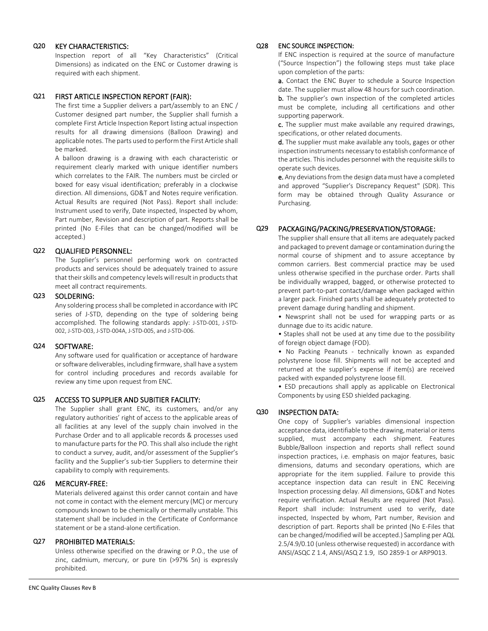### Q20 KEY CHARACTERISTICS:

Inspection report of all "Key Characteristics" (Critical Dimensions) as indicated on the ENC or Customer drawing is required with each shipment.

## Q21 FIRST ARTICLE INSPECTION REPORT (FAIR):

The first time a Supplier delivers a part/assembly to an ENC / Customer designed part number, the Supplier shall furnish a complete First Article Inspection Report listing actual inspection results for all drawing dimensions (Balloon Drawing) and applicable notes. The parts used to perform the First Article shall be marked.

A balloon drawing is a drawing with each characteristic or requirement clearly marked with unique identifier numbers which correlates to the FAIR. The numbers must be circled or boxed for easy visual identification; preferably in a clockwise direction. All dimensions, GD&T and Notes require verification. Actual Results are required (Not Pass). Report shall include: Instrument used to verify, Date inspected, Inspected by whom, Part number, Revision and description of part. Reports shall be printed (No E-Files that can be changed/modified will be accepted.)

## Q22 QUALIFIED PERSONNEL:

The Supplier's personnel performing work on contracted products and services should be adequately trained to assure that their skills and competency levels will result in products that meet all contract requirements.

## Q23 SOLDERING:

Any soldering process shall be completed in accordance with IPC series of J-STD, depending on the type of soldering being accomplished. The following standards apply: J-STD-001, J-STD-002, J-STD-003, J-STD-004A, J-STD-005, and J-STD-006.

## Q24 SOFTWARE:

Any software used for qualification or acceptance of hardware or software deliverables, including firmware, shall have a system for control including procedures and records available for review any time upon request from ENC.

## Q25 ACCESS TO SUPPLIER AND SUBITIER FACILITY:

The Supplier shall grant ENC, its customers, and/or any regulatory authorities' right of access to the applicable areas of all facilities at any level of the supply chain involved in the Purchase Order and to all applicable records & processes used to manufacture parts for the PO. This shall also include the right to conduct a survey, audit, and/or assessment of the Supplier's facility and the Supplier's sub-tier Suppliers to determine their capability to comply with requirements.

## Q26 MERCURY-FREE:

Materials delivered against this order cannot contain and have not come in contact with the element mercury (MC) or mercury compounds known to be chemically or thermally unstable. This statement shall be included in the Certificate of Conformance statement or be a stand-alone certification.

## Q27 PROHIBITED MATERIALS:

Unless otherwise specified on the drawing or P.O., the use of zinc, cadmium, mercury, or pure tin (>97% Sn) is expressly prohibited.

#### Q28 ENC SOURCE INSPECTION:

If ENC inspection is required at the source of manufacture ("Source Inspection") the following steps must take place upon completion of the parts:

a. Contact the ENC Buyer to schedule a Source Inspection date. The supplier must allow 48 hours for such coordination. **b.** The supplier's own inspection of the completed articles must be complete, including all certifications and other supporting paperwork.

c. The supplier must make available any required drawings, specifications, or other related documents.

d. The supplier must make available any tools, gages or other inspection instruments necessary to establish conformance of the articles. This includes personnel with the requisite skills to operate such devices.

e. Any deviations from the design data must have a completed and approved "Supplier's Discrepancy Request" (SDR). This form may be obtained through Quality Assurance or Purchasing.

# Q29 PACKAGING/PACKING/PRESERVATION/STORAGE:

The supplier shall ensure that all items are adequately packed and packaged to prevent damage or contamination during the normal course of shipment and to assure acceptance by common carriers. Best commercial practice may be used unless otherwise specified in the purchase order. Parts shall be individually wrapped, bagged, or otherwise protected to prevent part-to-part contact/damage when packaged within a larger pack. Finished parts shall be adequately protected to prevent damage during handling and shipment.

• Newsprint shall not be used for wrapping parts or as dunnage due to its acidic nature.

• Staples shall not be used at any time due to the possibility of foreign object damage (FOD).

• No Packing Peanuts - technically known as expanded polystyrene loose fill. Shipments will not be accepted and returned at the supplier's expense if item(s) are received packed with expanded polystyrene loose fill.

• ESD precautions shall apply as applicable on Electronical Components by using ESD shielded packaging.

## Q30 INSPECTION DATA:

One copy of Supplier's variables dimensional inspection acceptance data, identifiable to the drawing, material or items supplied, must accompany each shipment. Features Bubble/Balloon inspection and reports shall reflect sound inspection practices, i.e. emphasis on major features, basic dimensions, datums and secondary operations, which are appropriate for the item supplied. Failure to provide this acceptance inspection data can result in ENC Receiving Inspection processing delay. All dimensions, GD&T and Notes require verification. Actual Results are required (Not Pass). Report shall include: Instrument used to verify, date inspected, Inspected by whom, Part number, Revision and description of part. Reports shall be printed (No E-Files that can be changed/modified will be accepted.) Sampling per AQL 2.5/4.9/0.10 (unless otherwise requested) in accordance with ANSI/ASQC Z 1.4, ANSI/ASQ Z 1.9, ISO 2859-1 or ARP9013.